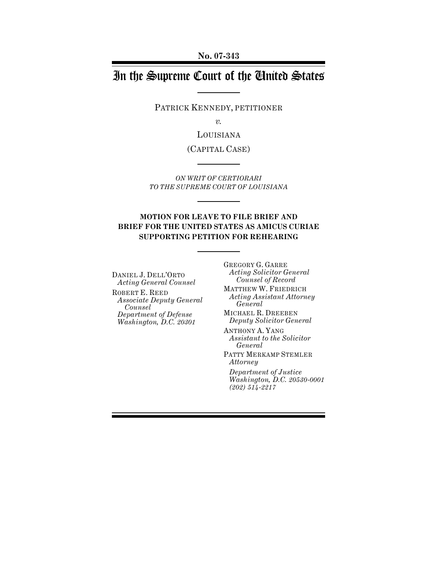# In the Supreme Court of the United States

PATRICK KENNEDY, PETITIONER

*v.*

LOUISIANA

(CAPITAL CASE)

*ON WRIT OF CERTIORARI TO THE SUPREME COURT OF LOUISIANA*

### **MOTION FOR LEAVE TO FILE BRIEF AND BRIEF FOR THE UNITED STATES AS AMICUS CURIAE SUPPORTING PETITION FOR REHEARING**

DANIEL J. DELL'ORTO *Acting General Counsel* ROBERT E. REED *Associate Deputy General Counsel Department of Defense Washington, D.C. 20301*

GREGORY G. GARRE *Acting Solicitor General Counsel of Record* MATTHEW W. FRIEDRICH *Acting Assistant Attorney General* MICHAEL R. DREEBEN *Deputy Solicitor General* ANTHONY A. YANG *Assistant to the Solicitor General* PATTY MERKAMP STEMLER *Attorney Department of Justice Washington, D.C. 20530-0001*

*(202) 514-2217*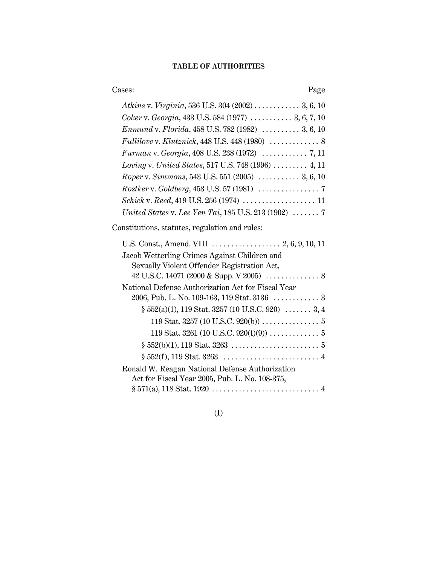# **TABLE OF AUTHORITIES**

Cases: Page

| Atkins v. Virginia, 536 U.S. 304 (2002) 3, 6, 10                       |
|------------------------------------------------------------------------|
| Coker v. Georgia, 433 U.S. 584 (1977)  3, 6, 7, 10                     |
| Enmund v. Florida, 458 U.S. 782 (1982) $\ldots \ldots \ldots$ 3, 6, 10 |
|                                                                        |
|                                                                        |
| Loving v. United States, 517 U.S. 748 (1996)  4, 11                    |
| Roper v. Simmons, 543 U.S. 551 (2005)  3, 6, 10                        |
|                                                                        |
|                                                                        |
| United States v. Lee Yen Tai, 185 U.S. 213 (1902) $\ldots \ldots$ . 7  |

Constitutions, statutes, regulation and rules:

| Jacob Wetterling Crimes Against Children and          |
|-------------------------------------------------------|
| Sexually Violent Offender Registration Act,           |
|                                                       |
| National Defense Authorization Act for Fiscal Year    |
|                                                       |
| $\S 552(a)(1)$ , 119 Stat. 3257 (10 U.S.C. 920)  3, 4 |
|                                                       |
|                                                       |
|                                                       |
|                                                       |
| Ronald W. Reagan National Defense Authorization       |
| Act for Fiscal Year 2005, Pub. L. No. 108-375,        |
|                                                       |

(I)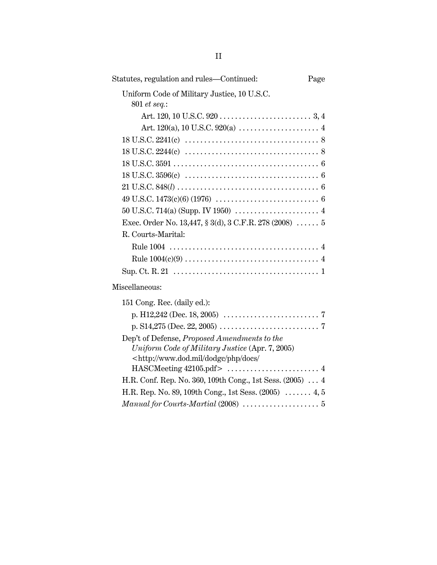| Statutes, regulation and rules—Continued:                                  | Page |
|----------------------------------------------------------------------------|------|
| Uniform Code of Military Justice, 10 U.S.C.<br>801 et seq.:                |      |
|                                                                            |      |
|                                                                            |      |
|                                                                            |      |
|                                                                            |      |
|                                                                            |      |
|                                                                            |      |
|                                                                            |      |
|                                                                            |      |
|                                                                            |      |
| Exec. Order No. 13,447, § 3(d), 3 C.F.R. 278 (2008)  5                     |      |
| R. Courts-Marital:                                                         |      |
|                                                                            |      |
|                                                                            |      |
|                                                                            |      |
| Miscellaneous:                                                             |      |
| 151 Cong. Rec. (daily ed.):                                                |      |
|                                                                            |      |
|                                                                            |      |
| Dep't of Defense, Proposed Amendments to the                               |      |
| Uniform Code of Military Justice (Apr. 7, 2005)                            |      |
| <http: <="" docs="" dodgc="" php="" td="" www.dod.mil=""><td></td></http:> |      |
|                                                                            |      |
| H.R. Conf. Rep. No. 360, 109th Cong., 1st Sess. (2005)  4                  |      |
| H.R. Rep. No. 89, 109th Cong., 1st Sess. (2005)  4, 5                      |      |
|                                                                            |      |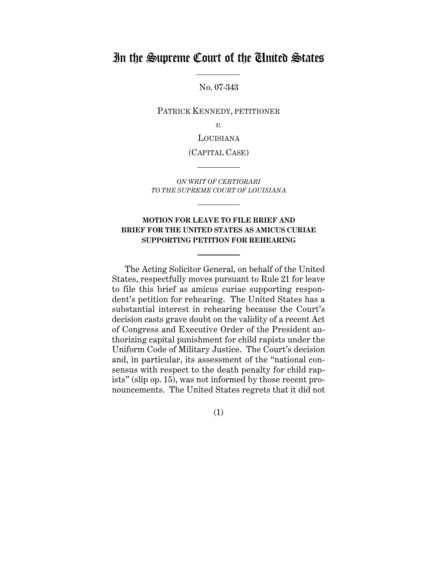# In the Supreme Court of the United States

No. 07-343

PATRICK KENNEDY, PETITIONER

*v.*

LOUISIANA

(CAPITAL CASE)

*ON WRIT OF CERTIORARI TO THE SUPREME COURT OF LOUISIANA*

### **MOTION FOR LEAVE TO FILE BRIEF AND BRIEF FOR THE UNITED STATES AS AMICUS CURIAE SUPPORTING PETITION FOR REHEARING**

The Acting Solicitor General, on behalf of the United States, respectfully moves pursuant to Rule 21 for leave to file this brief as amicus curiae supporting respondent's petition for rehearing. The United States has a substantial interest in rehearing because the Court's decision casts grave doubt on the validity of a recent Act of Congress and Executive Order of the President authorizing capital punishment for child rapists under the Uniform Code of Military Justice. The Court's decision and, in particular, its assessment of the "national consensus with respect to the death penalty for child rapists" (slip op. 15), was not informed by those recent pronouncements. The United States regrets that it did not

(1)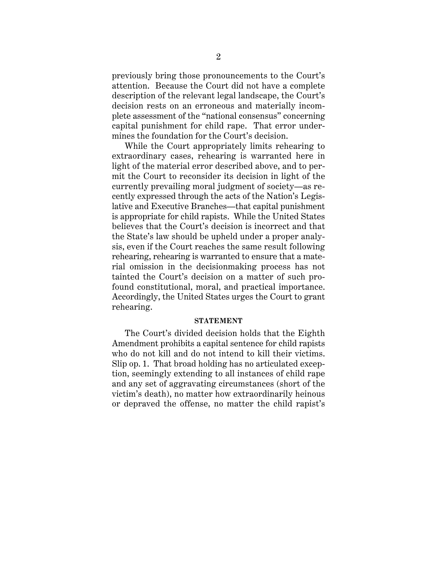previously bring those pronouncements to the Court's attention. Because the Court did not have a complete description of the relevant legal landscape, the Court's decision rests on an erroneous and materially incomplete assessment of the "national consensus" concerning capital punishment for child rape. That error undermines the foundation for the Court's decision.

While the Court appropriately limits rehearing to extraordinary cases, rehearing is warranted here in light of the material error described above, and to permit the Court to reconsider its decision in light of the currently prevailing moral judgment of society—as recently expressed through the acts of the Nation's Legislative and Executive Branches—that capital punishment is appropriate for child rapists. While the United States believes that the Court's decision is incorrect and that the State's law should be upheld under a proper analysis, even if the Court reaches the same result following rehearing, rehearing is warranted to ensure that a material omission in the decisionmaking process has not tainted the Court's decision on a matter of such profound constitutional, moral, and practical importance. Accordingly, the United States urges the Court to grant rehearing.

#### **STATEMENT**

The Court's divided decision holds that the Eighth Amendment prohibits a capital sentence for child rapists who do not kill and do not intend to kill their victims. Slip op. 1. That broad holding has no articulated exception, seemingly extending to all instances of child rape and any set of aggravating circumstances (short of the victim's death), no matter how extraordinarily heinous or depraved the offense, no matter the child rapist's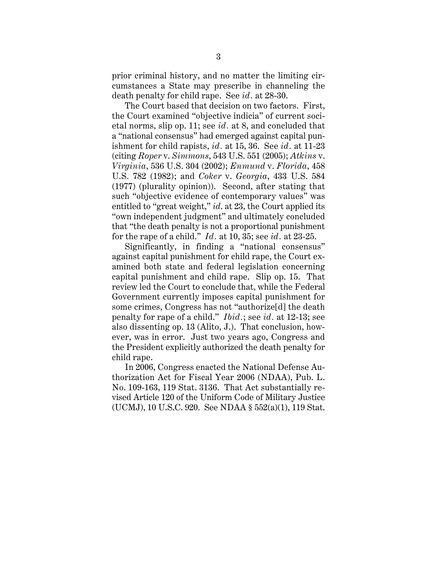prior criminal history, and no matter the limiting circumstances a State may prescribe in channeling the death penalty for child rape. See *id.* at 28-30.

The Court based that decision on two factors. First, the Court examined "objective indicia" of current societal norms, slip op. 11; see *id.* at 8, and concluded that a "national consensus" had emerged against capital punishment for child rapists, *id.* at 15, 36. See *id.* at 11-23 (citing *Roper* v. *Simmons*, 543 U.S. 551 (2005); *Atkins* v. *Virginia*, 536 U.S. 304 (2002); *Enmund* v. *Florida*, 458 U.S. 782 (1982); and *Coker* v. *Georgia*, 433 U.S. 584 (1977) (plurality opinion)). Second, after stating that such "objective evidence of contemporary values" was entitled to "great weight," *id*. at 23, the Court applied its "own independent judgment" and ultimately concluded that "the death penalty is not a proportional punishment for the rape of a child." *Id.* at 10, 35; see *id.* at 23-25.

Significantly, in finding a "national consensus" against capital punishment for child rape, the Court examined both state and federal legislation concerning capital punishment and child rape. Slip op. 15. That review led the Court to conclude that, while the Federal Government currently imposes capital punishment for some crimes, Congress has not "authorize[d] the death penalty for rape of a child." *Ibid.*; see *id.* at 12-13; see also dissenting op. 13 (Alito, J.). That conclusion, however, was in error. Just two years ago, Congress and the President explicitly authorized the death penalty for child rape.

In 2006, Congress enacted the National Defense Authorization Act for Fiscal Year 2006 (NDAA), Pub. L. No. 109-163, 119 Stat. 3136. That Act substantially revised Article 120 of the Uniform Code of Military Justice (UCMJ), 10 U.S.C. 920. See NDAA § 552(a)(1), 119 Stat.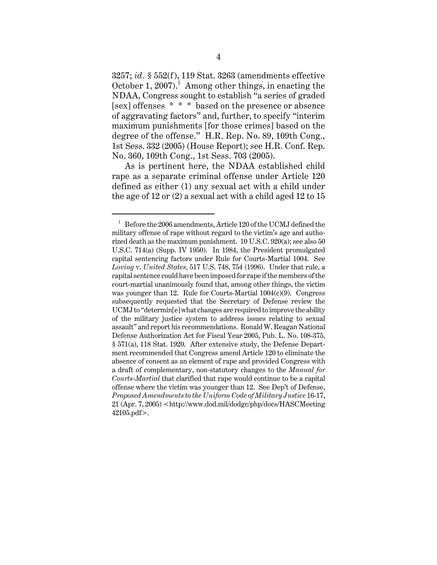3257; *id.* § 552(f), 119 Stat. 3263 (amendments effective October 1, 2007).<sup>1</sup> Among other things, in enacting the NDAA, Congress sought to establish "a series of graded [sex] offenses \* \* \* based on the presence or absence of aggravating factors" and, further, to specify "interim maximum punishments [for those crimes] based on the degree of the offense." H.R. Rep. No. 89, 109th Cong., 1st Sess. 332 (2005) (House Report); see H.R. Conf. Rep. No. 360, 109th Cong., 1st Sess. 703 (2005).

As is pertinent here, the NDAA established child rape as a separate criminal offense under Article 120 defined as either (1) any sexual act with a child under the age of 12 or (2) a sexual act with a child aged 12 to 15

 $^{\rm 1}~$  Before the 2006 amendments, Article 120 of the UCMJ defined the military offense of rape without regard to the victim's age and authorized death as the maximum punishment. 10 U.S.C. 920(a); see also 50 U.S.C. 714(a) (Supp. IV 1950). In 1984, the President promulgated capital sentencing factors under Rule for Courts-Martial 1004. See *Loving* v. *United States*, 517 U.S. 748, 754 (1996). Under that rule, a capital sentence could have been imposed for rape if the members of the court-martial unanimously found that, among other things, the victim was younger than 12. Rule for Courts-Martial 1004(c)(9). Congress subsequently requested that the Secretary of Defense review the UCMJ to "determin[e] what changes are required to improve the ability of the military justice system to address issues relating to sexual assault" and report his recommendations. Ronald W. Reagan National Defense Authorization Act for Fiscal Year 2005, Pub. L. No. 108-375, § 571(a), 118 Stat. 1920. After extensive study, the Defense Department recommended that Congress amend Article 120 to eliminate the absence of consent as an element of rape and provided Congress with a draft of complementary, non-statutory changes to the *Manual for Courts-Martial* that clarified that rape would continue to be a capital offense where the victim was younger than 12. See Dep't of Defense, *Proposed Amendments to the Uniform Code of Military Justice* 16-17, 21 (Apr. 7, 2005) <http://www.dod.mil/dodgc/php/docs/HASCMeeting 42105.pdf>.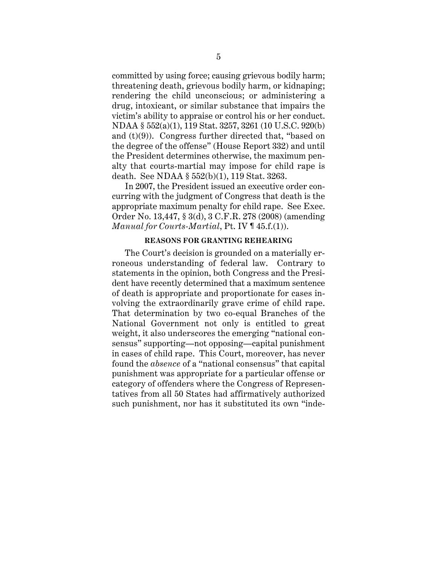committed by using force; causing grievous bodily harm; threatening death, grievous bodily harm, or kidnaping; rendering the child unconscious; or administering a drug, intoxicant, or similar substance that impairs the victim's ability to appraise or control his or her conduct. NDAA § 552(a)(1), 119 Stat. 3257, 3261 (10 U.S.C. 920(b) and (t)(9)). Congress further directed that, "based on the degree of the offense" (House Report 332) and until the President determines otherwise, the maximum penalty that courts-martial may impose for child rape is death. See NDAA § 552(b)(1), 119 Stat. 3263.

In 2007, the President issued an executive order concurring with the judgment of Congress that death is the appropriate maximum penalty for child rape. See Exec. Order No. 13,447, § 3(d), 3 C.F.R. 278 (2008) (amending *Manual for Courts-Martial*, Pt. IV ¶ 45.f.(1)).

#### **REASONS FOR GRANTING REHEARING**

The Court's decision is grounded on a materially erroneous understanding of federal law. Contrary to statements in the opinion, both Congress and the President have recently determined that a maximum sentence of death is appropriate and proportionate for cases involving the extraordinarily grave crime of child rape. That determination by two co-equal Branches of the National Government not only is entitled to great weight, it also underscores the emerging "national consensus" supporting—not opposing—capital punishment in cases of child rape. This Court, moreover, has never found the *absence* of a "national consensus" that capital punishment was appropriate for a particular offense or category of offenders where the Congress of Representatives from all 50 States had affirmatively authorized such punishment, nor has it substituted its own "inde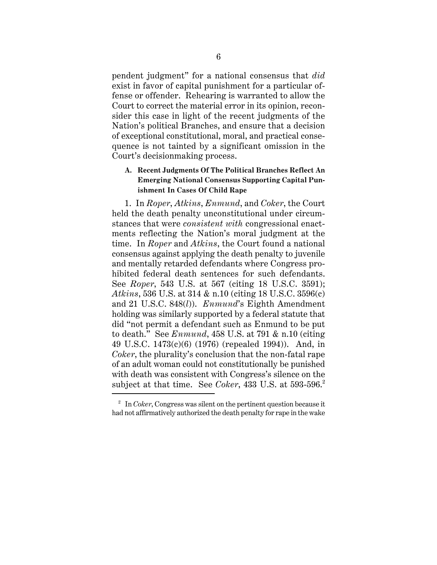pendent judgment" for a national consensus that *did* exist in favor of capital punishment for a particular offense or offender. Rehearing is warranted to allow the Court to correct the material error in its opinion, reconsider this case in light of the recent judgments of the Nation's political Branches, and ensure that a decision of exceptional constitutional, moral, and practical consequence is not tainted by a significant omission in the Court's decisionmaking process.

# **A. Recent Judgments Of The Political Branches Reflect An Emerging National Consensus Supporting Capital Punishment In Cases Of Child Rape**

1. In *Roper*, *Atkins*, *Enmund*, and *Coker*, the Court held the death penalty unconstitutional under circumstances that were *consistent with* congressional enactments reflecting the Nation's moral judgment at the time. In *Roper* and *Atkins*, the Court found a national consensus against applying the death penalty to juvenile and mentally retarded defendants where Congress prohibited federal death sentences for such defendants. See *Roper*, 543 U.S. at 567 (citing 18 U.S.C. 3591); *Atkins*, 536 U.S. at 314 & n.10 (citing 18 U.S.C. 3596(c) and 21 U.S.C. 848(*l*)). *Enmund*'s Eighth Amendment holding was similarly supported by a federal statute that did "not permit a defendant such as Enmund to be put to death." See *Enmund*, 458 U.S. at 791 & n.10 (citing 49 U.S.C. 1473(c)(6) (1976) (repealed 1994)). And, in *Coker*, the plurality's conclusion that the non-fatal rape of an adult woman could not constitutionally be punished with death was consistent with Congress's silence on the subject at that time. See *Coker*, 433 U.S. at 593-596.<sup>2</sup>

<sup>2</sup> In *Coker*, Congress was silent on the pertinent question because it had not affirmatively authorized the death penalty for rape in the wake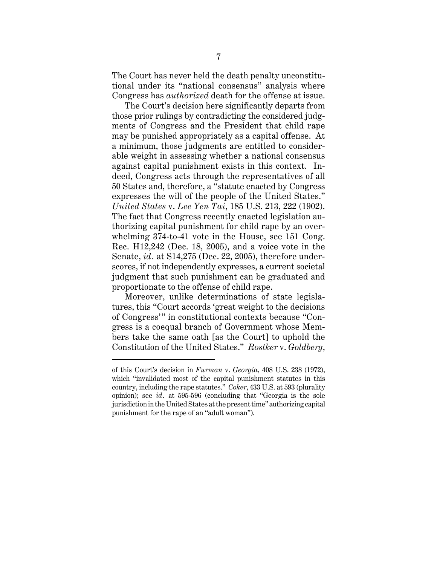The Court has never held the death penalty unconstitutional under its "national consensus" analysis where Congress has *authorized* death for the offense at issue.

The Court's decision here significantly departs from those prior rulings by contradicting the considered judgments of Congress and the President that child rape may be punished appropriately as a capital offense. At a minimum, those judgments are entitled to considerable weight in assessing whether a national consensus against capital punishment exists in this context. Indeed, Congress acts through the representatives of all 50 States and, therefore, a "statute enacted by Congress expresses the will of the people of the United States." *United States* v. *Lee Yen Tai*, 185 U.S. 213, 222 (1902). The fact that Congress recently enacted legislation authorizing capital punishment for child rape by an overwhelming 374-to-41 vote in the House, see 151 Cong. Rec. H12,242 (Dec. 18, 2005), and a voice vote in the Senate, *id.* at S14,275 (Dec. 22, 2005), therefore underscores, if not independently expresses, a current societal judgment that such punishment can be graduated and proportionate to the offense of child rape.

Moreover, unlike determinations of state legislatures, this "Court accords 'great weight to the decisions of Congress'" in constitutional contexts because "Congress is a coequal branch of Government whose Members take the same oath [as the Court] to uphold the Constitution of the United States." *Rostker* v. *Goldberg*,

of this Court's decision in *Furman* v. *Georgia*, 408 U.S. 238 (1972), which "invalidated most of the capital punishment statutes in this country, including the rape statutes." *Coker*, 433 U.S. at 593 (plurality opinion); see *id.* at 595-596 (concluding that "Georgia is the sole jurisdiction in the United States at the present time" authorizing capital punishment for the rape of an "adult woman").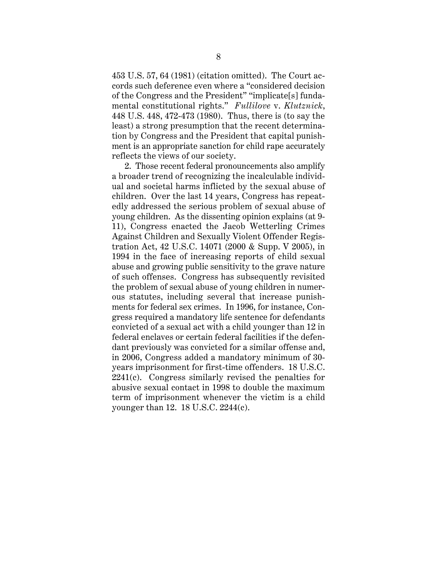453 U.S. 57, 64 (1981) (citation omitted). The Court accords such deference even where a "considered decision of the Congress and the President" "implicate[s] fundamental constitutional rights." *Fullilove* v. *Klutznick*, 448 U.S. 448, 472-473 (1980). Thus, there is (to say the least) a strong presumption that the recent determination by Congress and the President that capital punishment is an appropriate sanction for child rape accurately reflects the views of our society.

2. Those recent federal pronouncements also amplify a broader trend of recognizing the incalculable individual and societal harms inflicted by the sexual abuse of children. Over the last 14 years, Congress has repeatedly addressed the serious problem of sexual abuse of young children. As the dissenting opinion explains (at 9- 11), Congress enacted the Jacob Wetterling Crimes Against Children and Sexually Violent Offender Registration Act, 42 U.S.C. 14071 (2000 & Supp. V 2005), in 1994 in the face of increasing reports of child sexual abuse and growing public sensitivity to the grave nature of such offenses. Congress has subsequently revisited the problem of sexual abuse of young children in numerous statutes, including several that increase punishments for federal sex crimes. In 1996, for instance, Congress required a mandatory life sentence for defendants convicted of a sexual act with a child younger than 12 in federal enclaves or certain federal facilities if the defendant previously was convicted for a similar offense and, in 2006, Congress added a mandatory minimum of 30 years imprisonment for first-time offenders. 18 U.S.C. 2241(c). Congress similarly revised the penalties for abusive sexual contact in 1998 to double the maximum term of imprisonment whenever the victim is a child younger than 12. 18 U.S.C. 2244(c).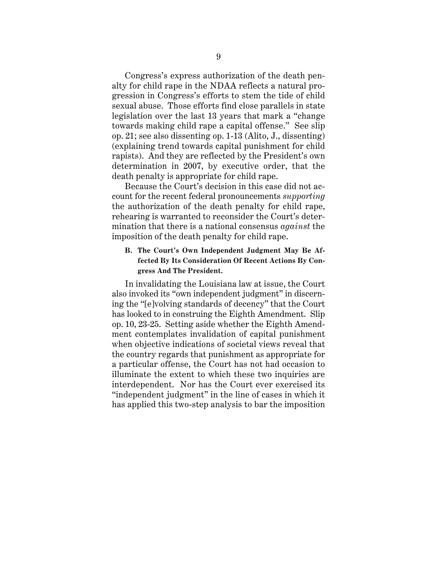Congress's express authorization of the death penalty for child rape in the NDAA reflects a natural progression in Congress's efforts to stem the tide of child sexual abuse. Those efforts find close parallels in state legislation over the last 13 years that mark a "change towards making child rape a capital offense." See slip op. 21; see also dissenting op. 1-13 (Alito, J., dissenting) (explaining trend towards capital punishment for child rapists). And they are reflected by the President's own determination in 2007, by executive order, that the death penalty is appropriate for child rape.

Because the Court's decision in this case did not account for the recent federal pronouncements *supporting* the authorization of the death penalty for child rape, rehearing is warranted to reconsider the Court's determination that there is a national consensus *against* the imposition of the death penalty for child rape.

# **B. The Court's Own Independent Judgment May Be Affected By Its Consideration Of Recent Actions By Congress And The President.**

In invalidating the Louisiana law at issue, the Court also invoked its "own independent judgment" in discerning the "[e]volving standards of decency" that the Court has looked to in construing the Eighth Amendment. Slip op. 10, 23-25. Setting aside whether the Eighth Amendment contemplates invalidation of capital punishment when objective indications of societal views reveal that the country regards that punishment as appropriate for a particular offense, the Court has not had occasion to illuminate the extent to which these two inquiries are interdependent. Nor has the Court ever exercised its "independent judgment" in the line of cases in which it has applied this two-step analysis to bar the imposition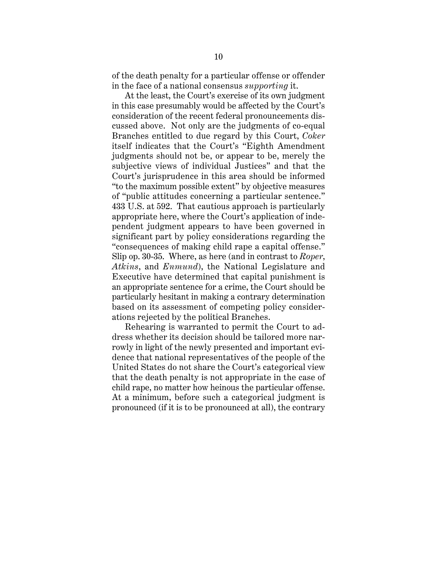of the death penalty for a particular offense or offender in the face of a national consensus *supporting* it.

At the least, the Court's exercise of its own judgment in this case presumably would be affected by the Court's consideration of the recent federal pronouncements discussed above. Not only are the judgments of co-equal Branches entitled to due regard by this Court, *Coker* itself indicates that the Court's "Eighth Amendment judgments should not be, or appear to be, merely the subjective views of individual Justices" and that the Court's jurisprudence in this area should be informed "to the maximum possible extent" by objective measures of "public attitudes concerning a particular sentence." 433 U.S. at 592. That cautious approach is particularly appropriate here, where the Court's application of independent judgment appears to have been governed in significant part by policy considerations regarding the "consequences of making child rape a capital offense." Slip op. 30-35. Where, as here (and in contrast to *Roper*, *Atkins*, and *Enmund*), the National Legislature and Executive have determined that capital punishment is an appropriate sentence for a crime, the Court should be particularly hesitant in making a contrary determination based on its assessment of competing policy considerations rejected by the political Branches.

Rehearing is warranted to permit the Court to address whether its decision should be tailored more narrowly in light of the newly presented and important evidence that national representatives of the people of the United States do not share the Court's categorical view that the death penalty is not appropriate in the case of child rape, no matter how heinous the particular offense. At a minimum, before such a categorical judgment is pronounced (if it is to be pronounced at all), the contrary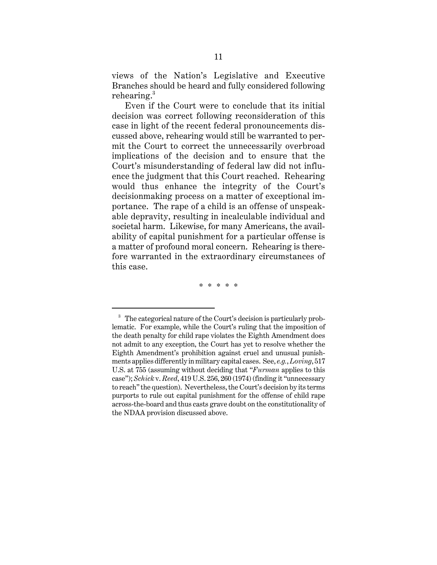views of the Nation's Legislative and Executive Branches should be heard and fully considered following rehearing.<sup>3</sup>

Even if the Court were to conclude that its initial decision was correct following reconsideration of this case in light of the recent federal pronouncements discussed above, rehearing would still be warranted to permit the Court to correct the unnecessarily overbroad implications of the decision and to ensure that the Court's misunderstanding of federal law did not influence the judgment that this Court reached. Rehearing would thus enhance the integrity of the Court's decisionmaking process on a matter of exceptional importance. The rape of a child is an offense of unspeakable depravity, resulting in incalculable individual and societal harm. Likewise, for many Americans, the availability of capital punishment for a particular offense is a matter of profound moral concern. Rehearing is therefore warranted in the extraordinary circumstances of this case.

\* \* \* \* \*

<sup>&</sup>lt;sup>3</sup> The categorical nature of the Court's decision is particularly problematic. For example, while the Court's ruling that the imposition of the death penalty for child rape violates the Eighth Amendment does not admit to any exception, the Court has yet to resolve whether the Eighth Amendment's prohibition against cruel and unusual punishments applies differently in military capital cases. See, *e.g.*, *Loving*, 517 U.S. at 755 (assuming without deciding that "*Furman* applies to this case"); *Schick* v. *Reed*, 419 U.S. 256, 260 (1974) (finding it "unnecessary to reach" the question). Nevertheless, the Court's decision by its terms purports to rule out capital punishment for the offense of child rape across-the-board and thus casts grave doubt on the constitutionality of the NDAA provision discussed above.